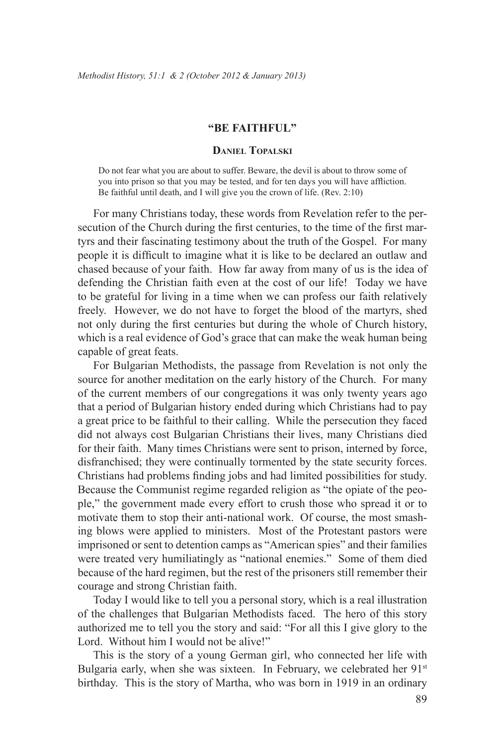## **"Be Faithful"**

## **Daniel Topalski**

Do not fear what you are about to suffer. Beware, the devil is about to throw some of you into prison so that you may be tested, and for ten days you will have affliction. Be faithful until death, and I will give you the crown of life. (Rev. 2:10)

For many Christians today, these words from Revelation refer to the persecution of the Church during the first centuries, to the time of the first martyrs and their fascinating testimony about the truth of the Gospel. For many people it is difficult to imagine what it is like to be declared an outlaw and chased because of your faith. How far away from many of us is the idea of defending the Christian faith even at the cost of our life! Today we have to be grateful for living in a time when we can profess our faith relatively freely. However, we do not have to forget the blood of the martyrs, shed not only during the first centuries but during the whole of Church history, which is a real evidence of God's grace that can make the weak human being capable of great feats.

For Bulgarian Methodists, the passage from Revelation is not only the source for another meditation on the early history of the Church. For many of the current members of our congregations it was only twenty years ago that a period of Bulgarian history ended during which Christians had to pay a great price to be faithful to their calling. While the persecution they faced did not always cost Bulgarian Christians their lives, many Christians died for their faith. Many times Christians were sent to prison, interned by force, disfranchised; they were continually tormented by the state security forces. Christians had problems finding jobs and had limited possibilities for study. Because the Communist regime regarded religion as "the opiate of the people," the government made every effort to crush those who spread it or to motivate them to stop their anti-national work. Of course, the most smashing blows were applied to ministers. Most of the Protestant pastors were imprisoned or sent to detention camps as "American spies" and their families were treated very humiliatingly as "national enemies." Some of them died because of the hard regimen, but the rest of the prisoners still remember their courage and strong Christian faith.

Today I would like to tell you a personal story, which is a real illustration of the challenges that Bulgarian Methodists faced. The hero of this story authorized me to tell you the story and said: "For all this I give glory to the Lord. Without him I would not be alive!"

This is the story of a young German girl, who connected her life with Bulgaria early, when she was sixteen. In February, we celebrated her 91<sup>st</sup> birthday. This is the story of Martha, who was born in 1919 in an ordinary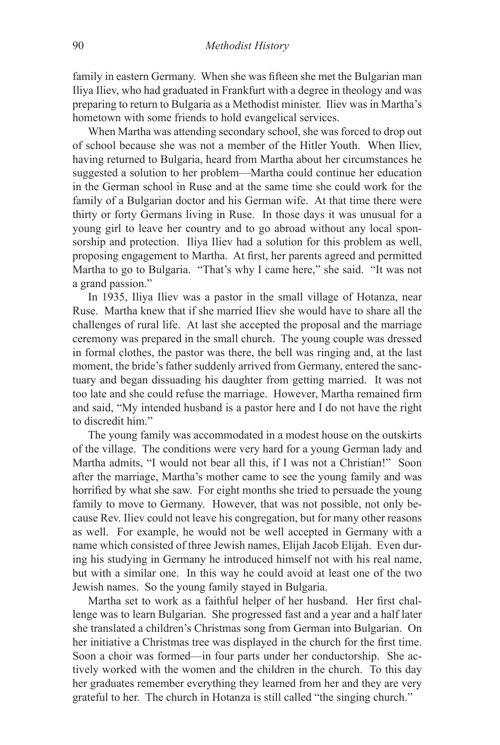family in eastern Germany. When she was fifteen she met the Bulgarian man Iliya Iliev, who had graduated in Frankfurt with a degree in theology and was preparing to return to Bulgaria as a Methodist minister. Iliev was in Martha's hometown with some friends to hold evangelical services.

When Martha was attending secondary school, she was forced to drop out of school because she was not a member of the Hitler Youth. When Iliev, having returned to Bulgaria, heard from Martha about her circumstances he suggested a solution to her problem—Martha could continue her education in the German school in Ruse and at the same time she could work for the family of a Bulgarian doctor and his German wife. At that time there were thirty or forty Germans living in Ruse. In those days it was unusual for a young girl to leave her country and to go abroad without any local sponsorship and protection. Iliya Iliev had a solution for this problem as well, proposing engagement to Martha. At first, her parents agreed and permitted Martha to go to Bulgaria. "That's why I came here," she said. "It was not a grand passion."

In 1935, Iliya Iliev was a pastor in the small village of Hotanza, near Ruse. Martha knew that if she married Iliev she would have to share all the challenges of rural life. At last she accepted the proposal and the marriage ceremony was prepared in the small church. The young couple was dressed in formal clothes, the pastor was there, the bell was ringing and, at the last moment, the bride's father suddenly arrived from Germany, entered the sanctuary and began dissuading his daughter from getting married. It was not too late and she could refuse the marriage. However, Martha remained firm and said, "My intended husband is a pastor here and I do not have the right to discredit him."

The young family was accommodated in a modest house on the outskirts of the village. The conditions were very hard for a young German lady and Martha admits, "I would not bear all this, if I was not a Christian!" Soon after the marriage, Martha's mother came to see the young family and was horrified by what she saw. For eight months she tried to persuade the young family to move to Germany. However, that was not possible, not only because Rev. Iliev could not leave his congregation, but for many other reasons as well. For example, he would not be well accepted in Germany with a name which consisted of three Jewish names, Elijah Jacob Elijah. Even during his studying in Germany he introduced himself not with his real name, but with a similar one. In this way he could avoid at least one of the two Jewish names. So the young family stayed in Bulgaria.

Martha set to work as a faithful helper of her husband. Her first challenge was to learn Bulgarian. She progressed fast and a year and a half later she translated a children's Christmas song from German into Bulgarian. On her initiative a Christmas tree was displayed in the church for the first time. Soon a choir was formed—in four parts under her conductorship. She actively worked with the women and the children in the church. To this day her graduates remember everything they learned from her and they are very grateful to her. The church in Hotanza is still called "the singing church."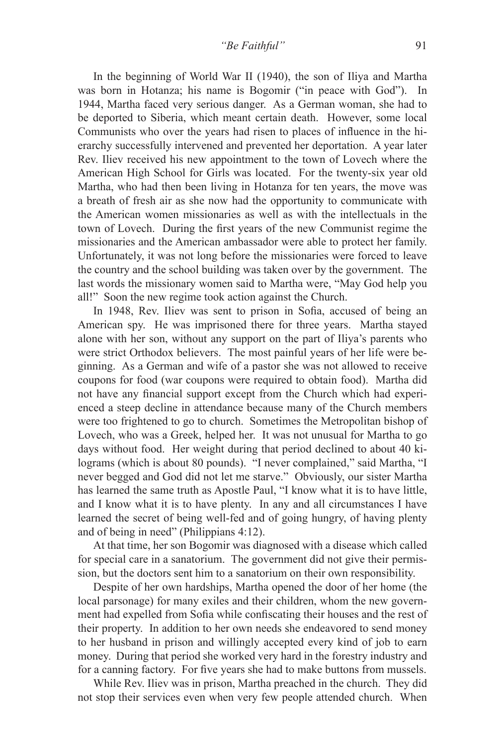In the beginning of World War II (1940), the son of Iliya and Martha was born in Hotanza; his name is Bogomir ("in peace with God"). In 1944, Martha faced very serious danger. As a German woman, she had to be deported to Siberia, which meant certain death. However, some local Communists who over the years had risen to places of influence in the hierarchy successfully intervened and prevented her deportation. A year later Rev. Iliev received his new appointment to the town of Lovech where the American High School for Girls was located. For the twenty-six year old Martha, who had then been living in Hotanza for ten years, the move was a breath of fresh air as she now had the opportunity to communicate with the American women missionaries as well as with the intellectuals in the town of Lovech. During the first years of the new Communist regime the missionaries and the American ambassador were able to protect her family. Unfortunately, it was not long before the missionaries were forced to leave the country and the school building was taken over by the government. The last words the missionary women said to Martha were, "May God help you all!" Soon the new regime took action against the Church.

In 1948, Rev. Iliev was sent to prison in Sofia, accused of being an American spy. He was imprisoned there for three years. Martha stayed alone with her son, without any support on the part of Iliya's parents who were strict Orthodox believers. The most painful years of her life were beginning. As a German and wife of a pastor she was not allowed to receive coupons for food (war coupons were required to obtain food). Martha did not have any financial support except from the Church which had experienced a steep decline in attendance because many of the Church members were too frightened to go to church. Sometimes the Metropolitan bishop of Lovech, who was a Greek, helped her. It was not unusual for Martha to go days without food. Her weight during that period declined to about 40 kilograms (which is about 80 pounds). "I never complained," said Martha, "I never begged and God did not let me starve." Obviously, our sister Martha has learned the same truth as Apostle Paul, "I know what it is to have little, and I know what it is to have plenty. In any and all circumstances I have learned the secret of being well-fed and of going hungry, of having plenty and of being in need" (Philippians 4:12).

At that time, her son Bogomir was diagnosed with a disease which called for special care in a sanatorium. The government did not give their permission, but the doctors sent him to a sanatorium on their own responsibility.

Despite of her own hardships, Martha opened the door of her home (the local parsonage) for many exiles and their children, whom the new government had expelled from Sofia while confiscating their houses and the rest of their property. In addition to her own needs she endeavored to send money to her husband in prison and willingly accepted every kind of job to earn money. During that period she worked very hard in the forestry industry and for a canning factory. For five years she had to make buttons from mussels.

While Rev. Iliev was in prison, Martha preached in the church. They did not stop their services even when very few people attended church. When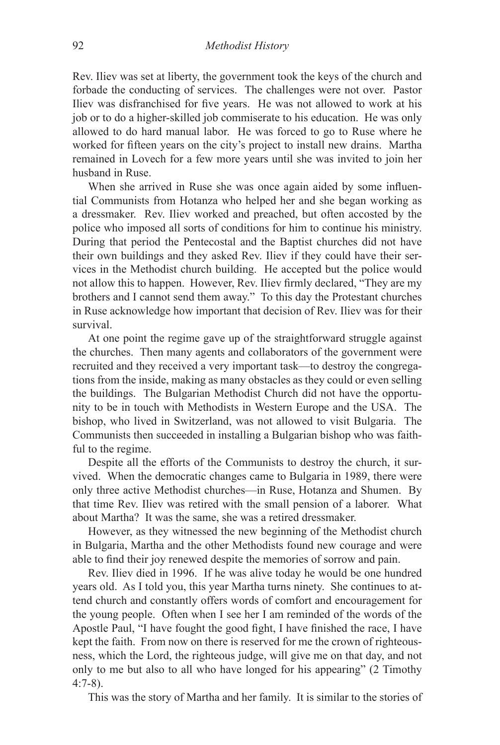Rev. Iliev was set at liberty, the government took the keys of the church and forbade the conducting of services. The challenges were not over. Pastor Iliev was disfranchised for five years. He was not allowed to work at his job or to do a higher-skilled job commiserate to his education. He was only allowed to do hard manual labor. He was forced to go to Ruse where he worked for fifteen years on the city's project to install new drains. Martha remained in Lovech for a few more years until she was invited to join her husband in Ruse.

When she arrived in Ruse she was once again aided by some influential Communists from Hotanza who helped her and she began working as a dressmaker. Rev. Iliev worked and preached, but often accosted by the police who imposed all sorts of conditions for him to continue his ministry. During that period the Pentecostal and the Baptist churches did not have their own buildings and they asked Rev. Iliev if they could have their services in the Methodist church building. He accepted but the police would not allow this to happen. However, Rev. Iliev firmly declared, "They are my brothers and I cannot send them away." To this day the Protestant churches in Ruse acknowledge how important that decision of Rev. Iliev was for their survival.

At one point the regime gave up of the straightforward struggle against the churches. Then many agents and collaborators of the government were recruited and they received a very important task—to destroy the congregations from the inside, making as many obstacles as they could or even selling the buildings. The Bulgarian Methodist Church did not have the opportunity to be in touch with Methodists in Western Europe and the USA. The bishop, who lived in Switzerland, was not allowed to visit Bulgaria. The Communists then succeeded in installing a Bulgarian bishop who was faithful to the regime.

Despite all the efforts of the Communists to destroy the church, it survived. When the democratic changes came to Bulgaria in 1989, there were only three active Methodist churches—in Ruse, Hotanza and Shumen. By that time Rev. Iliev was retired with the small pension of a laborer. What about Martha? It was the same, she was a retired dressmaker.

However, as they witnessed the new beginning of the Methodist church in Bulgaria, Martha and the other Methodists found new courage and were able to find their joy renewed despite the memories of sorrow and pain.

Rev. Iliev died in 1996. If he was alive today he would be one hundred years old. As I told you, this year Martha turns ninety. She continues to attend church and constantly offers words of comfort and encouragement for the young people. Often when I see her I am reminded of the words of the Apostle Paul, "I have fought the good fight, I have finished the race, I have kept the faith. From now on there is reserved for me the crown of righteousness, which the Lord, the righteous judge, will give me on that day, and not only to me but also to all who have longed for his appearing" (2 Timothy 4:7-8).

This was the story of Martha and her family. It is similar to the stories of